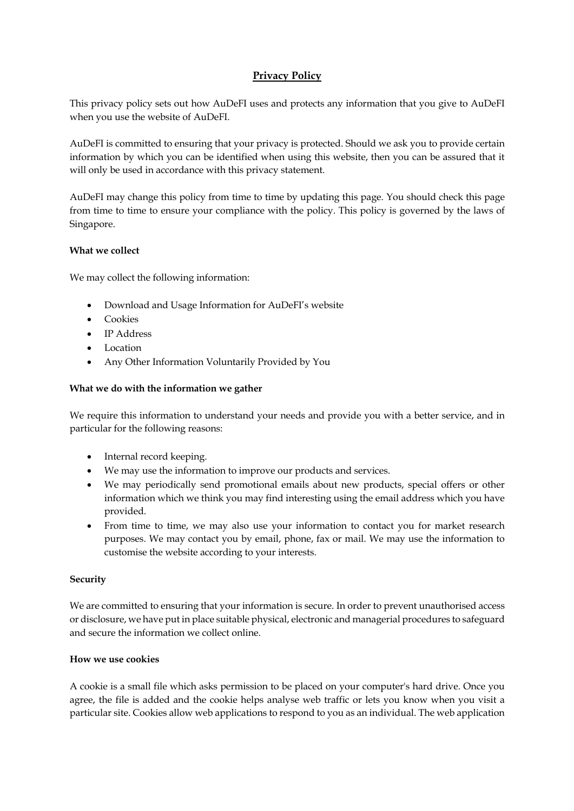# **Privacy Policy**

This privacy policy sets out how AuDeFI uses and protects any information that you give to AuDeFI when you use the website of AuDeFI.

AuDeFI is committed to ensuring that your privacy is protected. Should we ask you to provide certain information by which you can be identified when using this website, then you can be assured that it will only be used in accordance with this privacy statement.

AuDeFI may change this policy from time to time by updating this page. You should check this page from time to time to ensure your compliance with the policy. This policy is governed by the laws of Singapore.

# **What we collect**

We may collect the following information:

- Download and Usage Information for AuDeFI's website
- Cookies
- IP Address
- Location
- Any Other Information Voluntarily Provided by You

### **What we do with the information we gather**

We require this information to understand your needs and provide you with a better service, and in particular for the following reasons:

- Internal record keeping.
- We may use the information to improve our products and services.
- We may periodically send promotional emails about new products, special offers or other information which we think you may find interesting using the email address which you have provided.
- From time to time, we may also use your information to contact you for market research purposes. We may contact you by email, phone, fax or mail. We may use the information to customise the website according to your interests.

### **Security**

We are committed to ensuring that your information is secure. In order to prevent unauthorised access or disclosure, we have put in place suitable physical, electronic and managerial procedures to safeguard and secure the information we collect online.

### **How we use cookies**

A cookie is a small file which asks permission to be placed on your computer's hard drive. Once you agree, the file is added and the cookie helps analyse web traffic or lets you know when you visit a particular site. Cookies allow web applications to respond to you as an individual. The web application